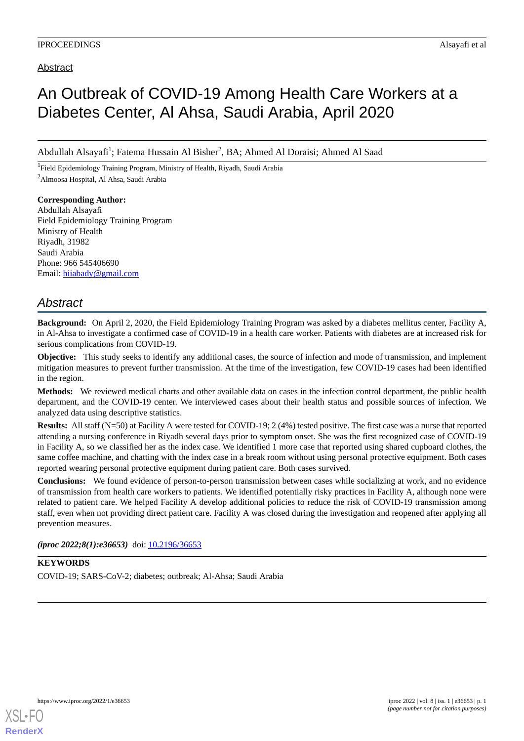### Abstract

# An Outbreak of COVID-19 Among Health Care Workers at a Diabetes Center, Al Ahsa, Saudi Arabia, April 2020

Abdullah Alsayafi<sup>1</sup>; Fatema Hussain Al Bisher<sup>2</sup>, BA; Ahmed Al Doraisi; Ahmed Al Saad

<sup>1</sup>Field Epidemiology Training Program, Ministry of Health, Riyadh, Saudi Arabia <sup>2</sup>Almoosa Hospital, Al Ahsa, Saudi Arabia

**Corresponding Author:** Abdullah Alsayafi Field Epidemiology Training Program Ministry of Health Riyadh, 31982 Saudi Arabia Phone: 966 545406690 Email: [hiiabady@gmail.com](mailto:hiiabady@gmail.com)

## *Abstract*

**Background:** On April 2, 2020, the Field Epidemiology Training Program was asked by a diabetes mellitus center, Facility A, in Al-Ahsa to investigate a confirmed case of COVID-19 in a health care worker. Patients with diabetes are at increased risk for serious complications from COVID-19.

**Objective:** This study seeks to identify any additional cases, the source of infection and mode of transmission, and implement mitigation measures to prevent further transmission. At the time of the investigation, few COVID-19 cases had been identified in the region.

**Methods:** We reviewed medical charts and other available data on cases in the infection control department, the public health department, and the COVID-19 center. We interviewed cases about their health status and possible sources of infection. We analyzed data using descriptive statistics.

**Results:** All staff (N=50) at Facility A were tested for COVID-19; 2 (4%) tested positive. The first case was a nurse that reported attending a nursing conference in Riyadh several days prior to symptom onset. She was the first recognized case of COVID-19 in Facility A, so we classified her as the index case. We identified 1 more case that reported using shared cupboard clothes, the same coffee machine, and chatting with the index case in a break room without using personal protective equipment. Both cases reported wearing personal protective equipment during patient care. Both cases survived.

**Conclusions:** We found evidence of person-to-person transmission between cases while socializing at work, and no evidence of transmission from health care workers to patients. We identified potentially risky practices in Facility A, although none were related to patient care. We helped Facility A develop additional policies to reduce the risk of COVID-19 transmission among staff, even when not providing direct patient care. Facility A was closed during the investigation and reopened after applying all prevention measures.

*(iproc 2022;8(1):e36653)* doi: [10.2196/36653](http://dx.doi.org/10.2196/36653)

## **KEYWORDS** COVID-19; SARS-CoV-2; diabetes; outbreak; Al-Ahsa; Saudi Arabia